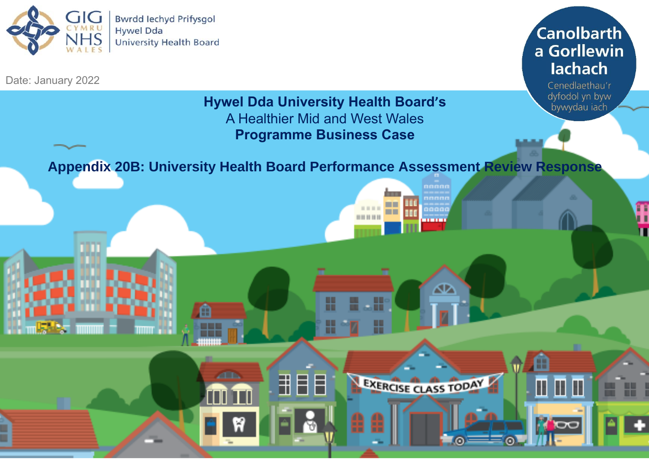

Date: January 2022



Cenedlaethau'r dyfodol yn byw bywydau iach

н

T

**TOC** 

# **Hywel Dda University Health Board's** A Healthier Mid and West Wales **Programme Business Case**

# **Appendix 20B: University Health Board Performance Assessment Review Response**

aaaai

∞

EXERCISE CLASS TODAY

┰

*BOTH OF HERE* 

1

H

用目目

₩

m

**ZED**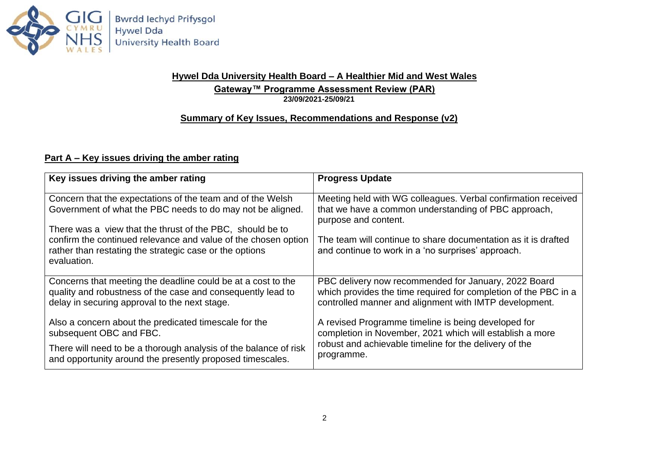

### **Hywel Dda University Health Board – A Healthier Mid and West Wales Gateway™ Programme Assessment Review (PAR) 23/09/2021-25/09/21**

### **Summary of Key Issues, Recommendations and Response (v2)**

### **Part A – Key issues driving the amber rating**

| Key issues driving the amber rating                                                                                                                                          | <b>Progress Update</b>                                                                                                                                                                  |  |
|------------------------------------------------------------------------------------------------------------------------------------------------------------------------------|-----------------------------------------------------------------------------------------------------------------------------------------------------------------------------------------|--|
| Concern that the expectations of the team and of the Welsh<br>Government of what the PBC needs to do may not be aligned.                                                     | Meeting held with WG colleagues. Verbal confirmation received<br>that we have a common understanding of PBC approach,<br>purpose and content.                                           |  |
| There was a view that the thrust of the PBC, should be to                                                                                                                    |                                                                                                                                                                                         |  |
| confirm the continued relevance and value of the chosen option<br>rather than restating the strategic case or the options<br>evaluation.                                     | The team will continue to share documentation as it is drafted<br>and continue to work in a 'no surprises' approach.                                                                    |  |
| Concerns that meeting the deadline could be at a cost to the<br>quality and robustness of the case and consequently lead to<br>delay in securing approval to the next stage. | PBC delivery now recommended for January, 2022 Board<br>which provides the time required for completion of the PBC in a<br>controlled manner and alignment with IMTP development.       |  |
| Also a concern about the predicated timescale for the<br>subsequent OBC and FBC.                                                                                             | A revised Programme timeline is being developed for<br>completion in November, 2021 which will establish a more<br>robust and achievable timeline for the delivery of the<br>programme. |  |
| There will need to be a thorough analysis of the balance of risk<br>and opportunity around the presently proposed timescales.                                                |                                                                                                                                                                                         |  |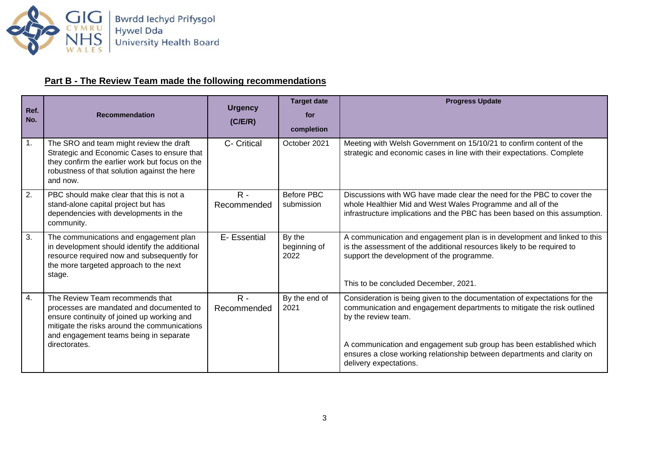

## **Part B - The Review Team made the following recommendations**

| <b>Recommendation</b>                                                                                                                                                                                                                | <b>Urgency</b><br>(C/ElR) | <b>Target date</b><br>for<br>completion | <b>Progress Update</b>                                                                                                                                                                                                                                                                                                                                 |
|--------------------------------------------------------------------------------------------------------------------------------------------------------------------------------------------------------------------------------------|---------------------------|-----------------------------------------|--------------------------------------------------------------------------------------------------------------------------------------------------------------------------------------------------------------------------------------------------------------------------------------------------------------------------------------------------------|
| The SRO and team might review the draft<br>Strategic and Economic Cases to ensure that<br>they confirm the earlier work but focus on the<br>robustness of that solution against the here<br>and now.                                 | C- Critical               | October 2021                            | Meeting with Welsh Government on 15/10/21 to confirm content of the<br>strategic and economic cases in line with their expectations. Complete                                                                                                                                                                                                          |
| PBC should make clear that this is not a<br>stand-alone capital project but has<br>dependencies with developments in the<br>community.                                                                                               | $R -$<br>Recommended      | Before PBC<br>submission                | Discussions with WG have made clear the need for the PBC to cover the<br>whole Healthier Mid and West Wales Programme and all of the<br>infrastructure implications and the PBC has been based on this assumption.                                                                                                                                     |
| The communications and engagement plan<br>in development should identify the additional<br>resource required now and subsequently for<br>the more targeted approach to the next<br>stage.                                            | E- Essential              | By the<br>beginning of<br>2022          | A communication and engagement plan is in development and linked to this<br>is the assessment of the additional resources likely to be required to<br>support the development of the programme.                                                                                                                                                        |
|                                                                                                                                                                                                                                      |                           |                                         | This to be concluded December, 2021.                                                                                                                                                                                                                                                                                                                   |
| The Review Team recommends that<br>processes are mandated and documented to<br>ensure continuity of joined up working and<br>mitigate the risks around the communications<br>and engagement teams being in separate<br>directorates. | $R -$<br>Recommended      | By the end of<br>2021                   | Consideration is being given to the documentation of expectations for the<br>communication and engagement departments to mitigate the risk outlined<br>by the review team.<br>A communication and engagement sub group has been established which<br>ensures a close working relationship between departments and clarity on<br>delivery expectations. |
|                                                                                                                                                                                                                                      |                           |                                         |                                                                                                                                                                                                                                                                                                                                                        |